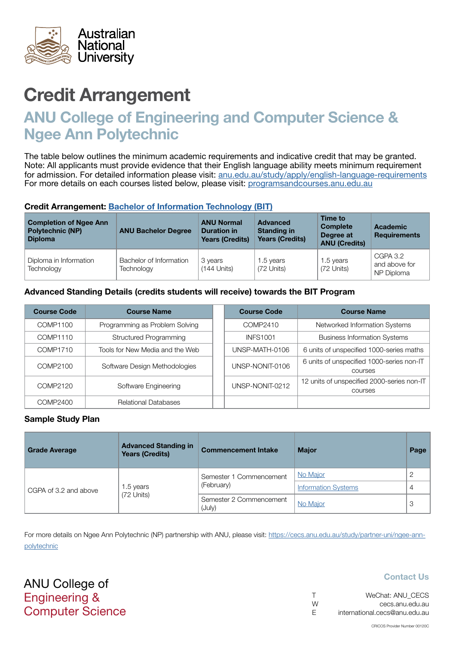

## ANU College of Engineering and Computer Science & Ngee Ann Polytechnic

The table below outlines the minimum academic requirements and indicative credit that may be granted. Note: All applicants must provide evidence that their English language ability meets minimum requirement for admission. For detailed information please visit: [anu.edu.au/study/apply/english-language-requirements](http://anu.edu.au/study/apply/english-language-requirements) For more details on each courses listed below, please visit: [programsandcourses.anu.edu.au](http://programsandcourses.anu.edu.au/program/BIT)

#### Credit Arrangement: [Bachelor of](http://programsandcourses.anu.edu.au/program/BIT) Information Technology (BIT)

| <b>Completion of Ngee Ann</b><br><b>Polytechnic (NP)</b><br><b>Diploma</b> | <b>ANU Bachelor Degree</b>            | <b>ANU Normal</b><br><b>Duration in</b><br><b>Years (Credits)</b> | <b>Advanced</b><br><b>Standing in</b><br><b>Years (Credits)</b> | Time to<br><b>Complete</b><br>Degree at<br><b>ANU (Credits)</b> | <b>Academic</b><br><b>Requirements</b>  |
|----------------------------------------------------------------------------|---------------------------------------|-------------------------------------------------------------------|-----------------------------------------------------------------|-----------------------------------------------------------------|-----------------------------------------|
| Diploma in Information<br>Technology                                       | Bachelor of Information<br>Technology | 3 years<br>$(144$ Units)                                          | 1.5 years<br>(72 Units)                                         | 1.5 years<br>(72 Units)                                         | CGPA 3.2<br>and above for<br>NP Diploma |

### Advanced Standing Details (credits students will receive) towards the BIT Program

| <b>Course Code</b> | <b>Course Name</b>              | <b>Course Code</b> | <b>Course Name</b>                                          |
|--------------------|---------------------------------|--------------------|-------------------------------------------------------------|
| COMP1100           | Programming as Problem Solving  | COMP2410           | Networked Information Systems                               |
| COMP1110           | Structured Programming          | <b>INFS1001</b>    | <b>Business Information Systems</b>                         |
| COMP1710           | Tools for New Media and the Web | UNSP-MATH-0106     | 6 units of unspecified 1000-series maths                    |
| COMP2100           | Software Design Methodologies   | UNSP-NONIT-0106    | 6 units of unspecified 1000-series non-IT<br><b>COULSES</b> |
| COMP2120           | Software Engineering            | UNSP-NONIT-0212    | 12 units of unspecified 2000-series non-IT<br>courses       |
| COMP2400           | <b>Relational Databases</b>     |                    |                                                             |

### Sample Study Plan

| <b>Grade Average</b>  | <b>Advanced Standing in</b><br><b>Years (Credits)</b> | <b>Commencement Intake</b>        | <b>Major</b>               | Page |
|-----------------------|-------------------------------------------------------|-----------------------------------|----------------------------|------|
|                       | 1.5 years<br>(72 Units)                               | Semester 1 Commencement           | No Major                   |      |
| CGPA of 3.2 and above |                                                       | (February)                        | <b>Information Systems</b> |      |
|                       |                                                       | Semester 2 Commencement<br>(July) | No Major                   | 3    |

For more details on Ngee Ann Polytechnic (NP) partnership with ANU, please visit: https://cecs.anu.edu.au/study/partner-uni/ngee-annpolytechnic

ANU College of Engineering & Computer Science

| $\top$ | WeChat: ANU CECS              |
|--------|-------------------------------|
| W      | cecs.anu.edu.au               |
| - F    | international.cecs@anu.edu.au |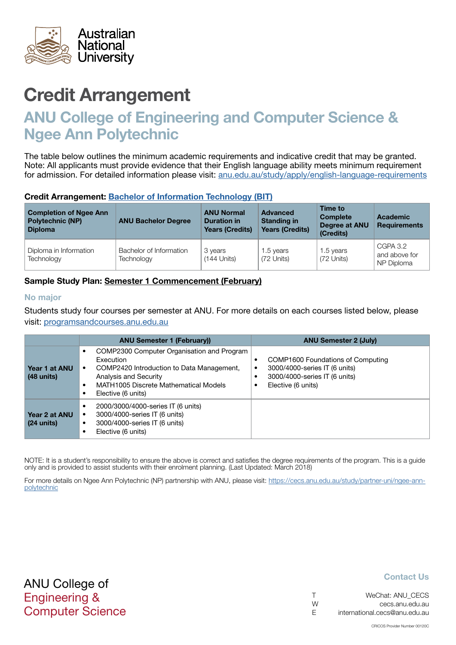<span id="page-1-0"></span>

## ANU College of Engineering and Computer Science & Ngee Ann Polytechnic

The table below outlines the minimum academic requirements and indicative credit that may be granted. Note: All applicants must provide evidence that their English language ability meets minimum requirement for admission. For detailed information please visit: [anu.edu.au/study/apply/english-language-requirements](http://anu.edu.au/study/apply/english-language-requirements)

### Credit Arrangement: [Bachelor of](http://programsandcourses.anu.edu.au/program/BIT) Information Technology (BIT)

| <b>Completion of Ngee Ann</b><br><b>Polytechnic (NP)</b><br><b>Diploma</b> | <b>ANU Bachelor Degree</b>            | <b>ANU Normal</b><br><b>Duration in</b><br><b>Years (Credits)</b> | <b>Advanced</b><br><b>Standing in</b><br><b>Years (Credits)</b> | Time to<br><b>Complete</b><br>Degree at ANU<br>(Credits) | Academic<br><b>Requirements</b>         |
|----------------------------------------------------------------------------|---------------------------------------|-------------------------------------------------------------------|-----------------------------------------------------------------|----------------------------------------------------------|-----------------------------------------|
| Diploma in Information<br>Technology                                       | Bachelor of Information<br>Technology | 3 years<br>$(144$ Units)                                          | 1.5 years<br>(72 Units)                                         | 1.5 years<br>(72 Units)                                  | CGPA 3.2<br>and above for<br>NP Diploma |

### Sample Study Plan: Semester 1 Commencement (February)

#### No major

Students study four courses per semester at ANU. For more details on each courses listed below, please visit: [programsandcourses.anu.edu.au](http://programsandcourses.anu.edu.au/program/BIT)

|                                       | <b>ANU Semester 1 (February)</b>                                                                                                                                                                  | <b>ANU Semester 2 (July)</b>                                                                                              |
|---------------------------------------|---------------------------------------------------------------------------------------------------------------------------------------------------------------------------------------------------|---------------------------------------------------------------------------------------------------------------------------|
| Year 1 at ANU<br>$(48 \text{ units})$ | COMP2300 Computer Organisation and Program<br>Execution<br>COMP2420 Introduction to Data Management,<br>٠<br>Analysis and Security<br>MATH1005 Discrete Mathematical Models<br>Elective (6 units) | COMP1600 Foundations of Computing<br>3000/4000-series IT (6 units)<br>3000/4000-series IT (6 units)<br>Elective (6 units) |
| Year 2 at ANU<br>$(24 \text{ units})$ | 2000/3000/4000-series IT (6 units)<br>3000/4000-series IT (6 units)<br>3000/4000-series IT (6 units)<br>٠<br>Elective (6 units)                                                                   |                                                                                                                           |

NOTE: It is a student's responsibility to ensure the above is correct and satisfies the degree requirements of the program. This is a guide only and is provided to assist students with their enrolment planning. (Last Updated: March 2018)

For more details on Ngee Ann Polytechnic (NP) partnership with ANU, please visit: https://cecs.anu.edu.au/study/partner-uni/ngee-annpolytechnic

### ANU College of Engineering & Computer Science

|   | WeChat: ANU CECS              |
|---|-------------------------------|
| W | cecs.anu.edu.au               |
| E | international.cecs@anu.edu.au |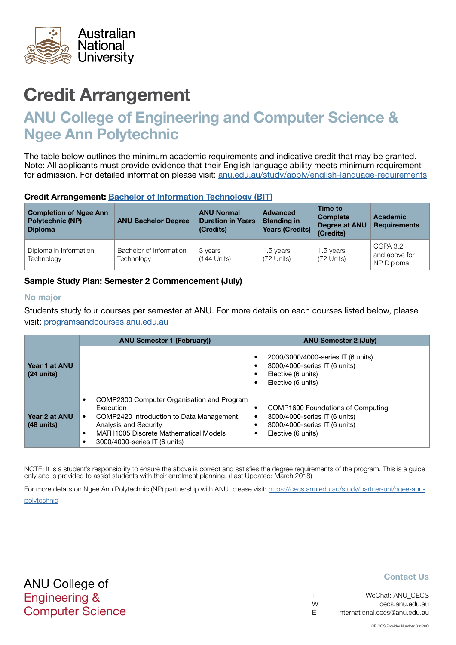<span id="page-2-0"></span>

## ANU College of Engineering and Computer Science & Ngee Ann Polytechnic

The table below outlines the minimum academic requirements and indicative credit that may be granted. Note: All applicants must provide evidence that their English language ability meets minimum requirement for admission. For detailed information please visit: [anu.edu.au/study/apply/english-language-requirements](http://anu.edu.au/study/apply/english-language-requirements)

### Credit Arrangement: [Bachelor of](http://programsandcourses.anu.edu.au/program/BIT) Information Technology (BIT)

| <b>Completion of Ngee Ann</b><br><b>Polytechnic (NP)</b><br><b>Diploma</b> | <b>ANU Bachelor Degree</b>            | <b>ANU Normal</b><br><b>Duration in Years</b><br>(Credits) | Advanced<br><b>Standing in</b><br><b>Years (Credits)</b> | Time to<br><b>Complete</b><br>Degree at ANU<br>(Credits) | <b>Academic</b><br><b>Requirements</b>  |
|----------------------------------------------------------------------------|---------------------------------------|------------------------------------------------------------|----------------------------------------------------------|----------------------------------------------------------|-----------------------------------------|
| Diploma in Information<br>Technology                                       | Bachelor of Information<br>Technology | 3 years<br>$(144$ Units)                                   | 1.5 years<br>(72 Units)                                  | 1.5 years<br>(72 Units)                                  | CGPA 3.2<br>and above for<br>NP Diploma |

### Sample Study Plan: Semester 2 Commencement (July)

#### No major

Students study four courses per semester at ANU. For more details on each courses listed below, please visit: [programsandcourses.anu.edu.au](http://programsandcourses.anu.edu.au/program/BIT)

|                                       | <b>ANU Semester 1 (February))</b>                                                                                                                                                                                                 | <b>ANU Semester 2 (July)</b>                                                                                                   |
|---------------------------------------|-----------------------------------------------------------------------------------------------------------------------------------------------------------------------------------------------------------------------------------|--------------------------------------------------------------------------------------------------------------------------------|
| Year 1 at ANU<br>$(24 \text{ units})$ |                                                                                                                                                                                                                                   | 2000/3000/4000-series IT (6 units)<br>3000/4000-series IT (6 units)<br>Elective (6 units)<br>Elective (6 units)                |
| Year 2 at ANU<br>$(48$ units)         | COMP2300 Computer Organisation and Program<br>Execution<br>COMP2420 Introduction to Data Management,<br>$\bullet$<br>Analysis and Security<br>MATH1005 Discrete Mathematical Models<br>$\bullet$<br>3000/4000-series IT (6 units) | COMP1600 Foundations of Computing<br>٠<br>3000/4000-series IT (6 units)<br>3000/4000-series IT (6 units)<br>Elective (6 units) |

NOTE: It is a student's responsibility to ensure the above is correct and satisfies the degree requirements of the program. This is a guide only and is provided to assist students with their enrolment planning. (Last Updated: March 2018)

For more details on Ngee Ann Polytechnic (NP) partnership with ANU, please visit: https://cecs.anu.edu.au/study/partner-uni/ngee-annpolytechnic

| $\top$ | WeChat: ANU CECS              |
|--------|-------------------------------|
| W      | cecs.anu.edu.au               |
| E.     | international.cecs@anu.edu.au |